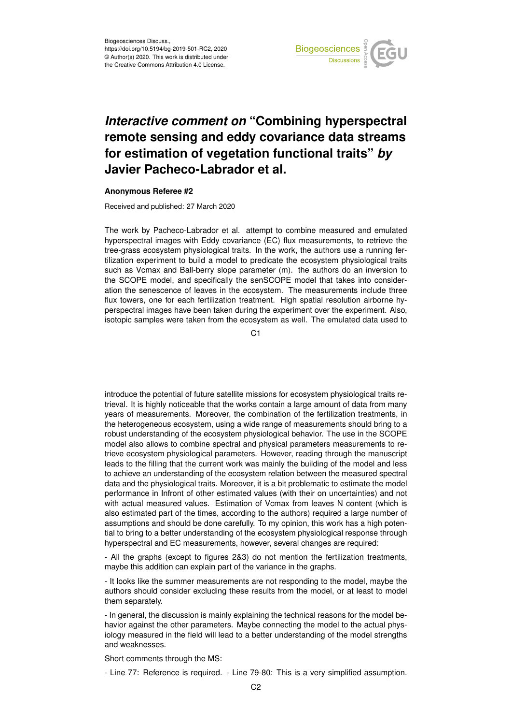

## *Interactive comment on* **"Combining hyperspectral remote sensing and eddy covariance data streams for estimation of vegetation functional traits"** *by* **Javier Pacheco-Labrador et al.**

## **Anonymous Referee #2**

Received and published: 27 March 2020

The work by Pacheco-Labrador et al. attempt to combine measured and emulated hyperspectral images with Eddy covariance (EC) flux measurements, to retrieve the tree-grass ecosystem physiological traits. In the work, the authors use a running fertilization experiment to build a model to predicate the ecosystem physiological traits such as Vcmax and Ball-berry slope parameter (m). the authors do an inversion to the SCOPE model, and specifically the senSCOPE model that takes into consideration the senescence of leaves in the ecosystem. The measurements include three flux towers, one for each fertilization treatment. High spatial resolution airborne hyperspectral images have been taken during the experiment over the experiment. Also, isotopic samples were taken from the ecosystem as well. The emulated data used to

C<sub>1</sub>

introduce the potential of future satellite missions for ecosystem physiological traits retrieval. It is highly noticeable that the works contain a large amount of data from many years of measurements. Moreover, the combination of the fertilization treatments, in the heterogeneous ecosystem, using a wide range of measurements should bring to a robust understanding of the ecosystem physiological behavior. The use in the SCOPE model also allows to combine spectral and physical parameters measurements to retrieve ecosystem physiological parameters. However, reading through the manuscript leads to the filling that the current work was mainly the building of the model and less to achieve an understanding of the ecosystem relation between the measured spectral data and the physiological traits. Moreover, it is a bit problematic to estimate the model performance in Infront of other estimated values (with their on uncertainties) and not with actual measured values. Estimation of Vcmax from leaves N content (which is also estimated part of the times, according to the authors) required a large number of assumptions and should be done carefully. To my opinion, this work has a high potential to bring to a better understanding of the ecosystem physiological response through hyperspectral and EC measurements, however, several changes are required:

- All the graphs (except to figures 2&3) do not mention the fertilization treatments, maybe this addition can explain part of the variance in the graphs.

- It looks like the summer measurements are not responding to the model, maybe the authors should consider excluding these results from the model, or at least to model them separately.

- In general, the discussion is mainly explaining the technical reasons for the model behavior against the other parameters. Maybe connecting the model to the actual physiology measured in the field will lead to a better understanding of the model strengths and weaknesses.

Short comments through the MS:

- Line 77: Reference is required. - Line 79-80: This is a very simplified assumption.